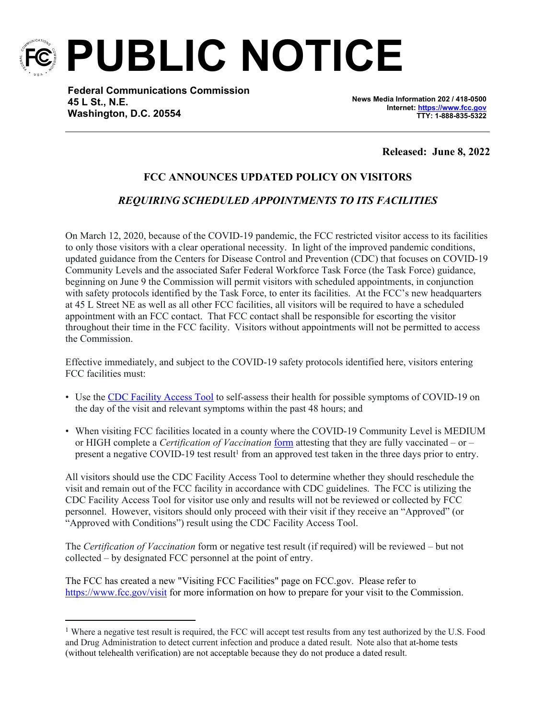

**PUBLIC NOTICE**

**Federal Communications Commission 45 L St., N.E. Washington, D.C. 20554**

**News Media Information 202 / 418-0500 Internet:<https://www.fcc.gov> TTY: 1-888-835-5322**

**Released: June 8, 2022**

## **FCC ANNOUNCES UPDATED POLICY ON VISITORS**

## *REQUIRING SCHEDULED APPOINTMENTS TO ITS FACILITIES*

On March 12, 2020, because of the COVID-19 pandemic, the FCC restricted visitor access to its facilities to only those visitors with a clear operational necessity. In light of the improved pandemic conditions, updated guidance from the Centers for Disease Control and Prevention (CDC) that focuses on COVID-19 Community Levels and the associated Safer Federal Workforce Task Force (the Task Force) guidance, beginning on June 9 the Commission will permit visitors with scheduled appointments, in conjunction with safety protocols identified by the Task Force, to enter its facilities. At the FCC's new headquarters at 45 L Street NE as well as all other FCC facilities, all visitors will be required to have a scheduled appointment with an FCC contact. That FCC contact shall be responsible for escorting the visitor throughout their time in the FCC facility. Visitors without appointments will not be permitted to access the Commission.

Effective immediately, and subject to the COVID-19 safety protocols identified here, visitors entering FCC facilities must:

- Use the [CDC Facility Access Tool](https://www.cdc.gov/screening/index.html) to self-assess their health for possible symptoms of COVID-19 on the day of the visit and relevant symptoms within the past 48 hours; and
- When visiting FCC facilities located in a county where the COVID-19 Community Level is MEDIUM or HIGH complete a *Certification of Vaccination* [form](https://www.saferfederalworkforce.gov/downloads/CertificationVaccinationPRAv7.pdf) attesting that they are fully vaccinated – or – present a negative COVID-19 test result<sup>1</sup> from an approved test taken in the three days prior to entry.

All visitors should use the CDC Facility Access Tool to determine whether they should reschedule the visit and remain out of the FCC facility in accordance with CDC guidelines. The FCC is utilizing the CDC Facility Access Tool for visitor use only and results will not be reviewed or collected by FCC personnel. However, visitors should only proceed with their visit if they receive an "Approved" (or "Approved with Conditions") result using the CDC Facility Access Tool.

The *Certification of Vaccination* form or negative test result (if required) will be reviewed – but not collected – by designated FCC personnel at the point of entry.

The FCC has created a new "Visiting FCC Facilities" page on FCC.gov. Please refer to <https://www.fcc.gov/visit>for more information on how to prepare for your visit to the Commission.

<sup>&</sup>lt;sup>1</sup> Where a negative test result is required, the FCC will accept test results from any test authorized by the U.S. Food and Drug Administration to detect current infection and produce a dated result. Note also that at-home tests (without telehealth verification) are not acceptable because they do not produce a dated result.